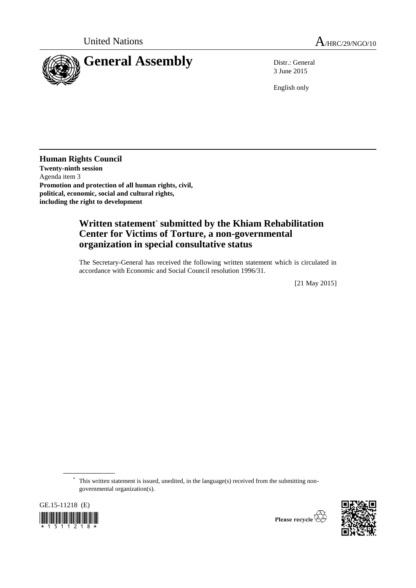

3 June 2015

English only

**Human Rights Council Twenty-ninth session** Agenda item 3 **Promotion and protection of all human rights, civil, political, economic, social and cultural rights, including the right to development**

## **Written statement**\* **submitted by the Khiam Rehabilitation Center for Victims of Torture, a non-governmental organization in special consultative status**

The Secretary-General has received the following written statement which is circulated in accordance with Economic and Social Council resolution 1996/31.

[21 May 2015]

\* This written statement is issued, unedited, in the language(s) received from the submitting nongovernmental organization(s).